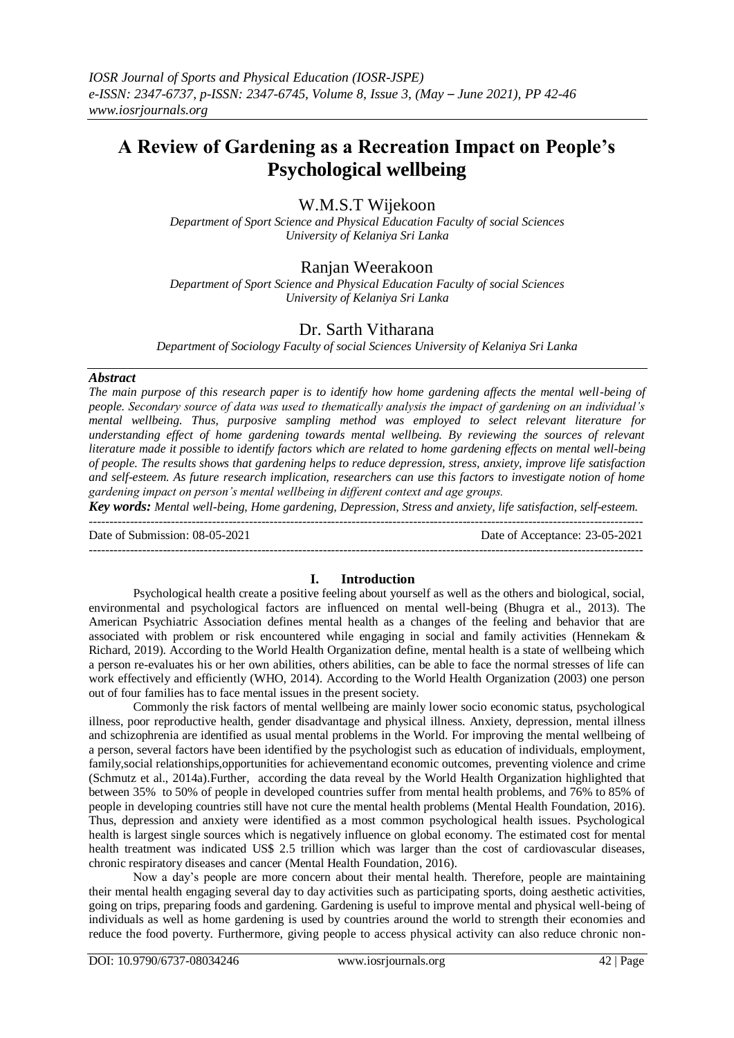# **A Review of Gardening as a Recreation Impact on People's Psychological wellbeing**

# W.M.S.T Wijekoon

*Department of Sport Science and Physical Education Faculty of social Sciences University of Kelaniya Sri Lanka*

# Ranjan Weerakoon

*Department of Sport Science and Physical Education Faculty of social Sciences University of Kelaniya Sri Lanka*

## Dr. Sarth Vitharana

*Department of Sociology Faculty of social Sciences University of Kelaniya Sri Lanka*

### *Abstract*

*The main purpose of this research paper is to identify how home gardening affects the mental well-being of people. Secondary source of data was used to thematically analysis the impact of gardening on an individual's mental wellbeing. Thus, purposive sampling method was employed to select relevant literature for understanding effect of home gardening towards mental wellbeing. By reviewing the sources of relevant literature made it possible to identify factors which are related to home gardening effects on mental well-being of people. The results shows that gardening helps to reduce depression, stress, anxiety, improve life satisfaction and self-esteem. As future research implication, researchers can use this factors to investigate notion of home gardening impact on person's mental wellbeing in different context and age groups.* 

*Key words: Mental well-being, Home gardening, Depression, Stress and anxiety, life satisfaction, self-esteem.* ---------------------------------------------------------------------------------------------------------------------------------------

Date of Submission: 08-05-2021 Date of Acceptance: 23-05-2021

## **I. Introduction**

---------------------------------------------------------------------------------------------------------------------------------------

Psychological health create a positive feeling about yourself as well as the others and biological, social, environmental and psychological factors are influenced on mental well-being (Bhugra et al., 2013). The American Psychiatric Association defines mental health as a changes of the feeling and behavior that are associated with problem or risk encountered while engaging in social and family activities (Hennekam & Richard, 2019). According to the World Health Organization define, mental health is a state of wellbeing which a person re-evaluates his or her own abilities, others abilities, can be able to face the normal stresses of life can work effectively and efficiently (WHO, 2014). According to the World Health Organization (2003) one person out of four families has to face mental issues in the present society.

Commonly the risk factors of mental wellbeing are mainly lower socio economic status, psychological illness, poor reproductive health, gender disadvantage and physical illness. Anxiety, depression, mental illness and schizophrenia are identified as usual mental problems in the World. For improving the mental wellbeing of a person, several factors have been identified by the psychologist such as education of individuals, employment, family,social relationships,opportunities for achievementand economic outcomes, preventing violence and crime (Schmutz et al., 2014a).Further, according the data reveal by the World Health Organization highlighted that between 35% to 50% of people in developed countries suffer from mental health problems, and 76% to 85% of people in developing countries still have not cure the mental health problems (Mental Health Foundation, 2016). Thus, depression and anxiety were identified as a most common psychological health issues. Psychological health is largest single sources which is negatively influence on global economy. The estimated cost for mental health treatment was indicated US\$ 2.5 trillion which was larger than the cost of cardiovascular diseases, chronic respiratory diseases and cancer (Mental Health Foundation, 2016).

Now a day's people are more concern about their mental health. Therefore, people are maintaining their mental health engaging several day to day activities such as participating sports, doing aesthetic activities, going on trips, preparing foods and gardening. Gardening is useful to improve mental and physical well-being of individuals as well as home gardening is used by countries around the world to strength their economies and reduce the food poverty. Furthermore, giving people to access physical activity can also reduce chronic non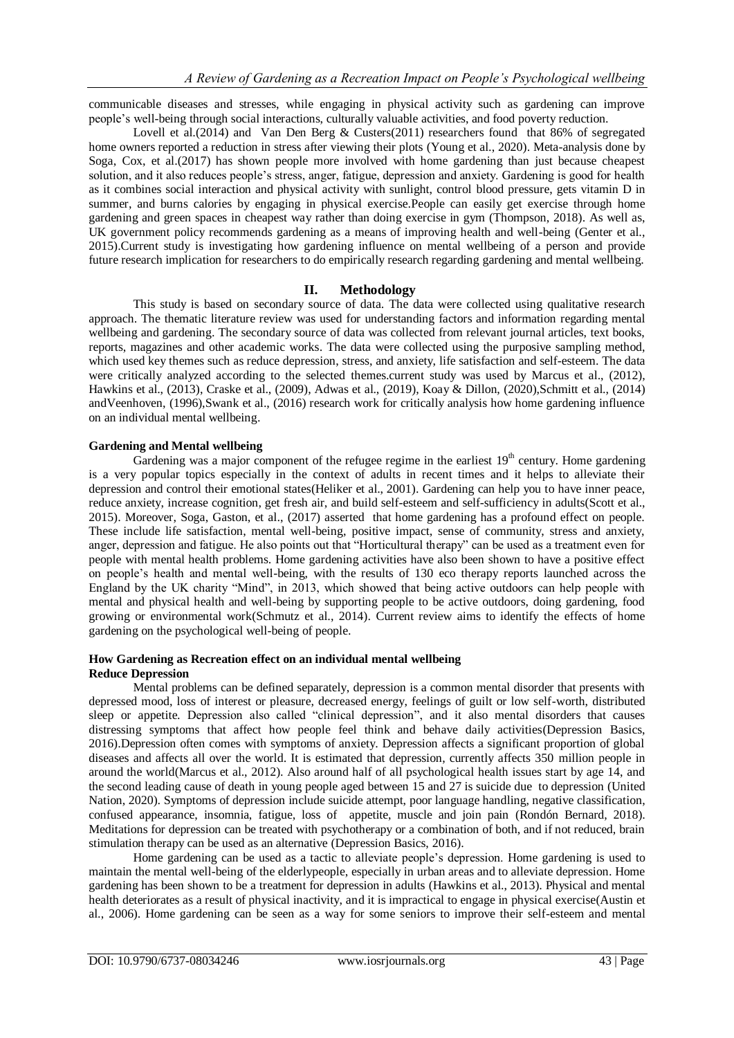communicable diseases and stresses, while engaging in physical activity such as gardening can improve people's well-being through social interactions, culturally valuable activities, and food poverty reduction.

Lovell et al.(2014) and Van Den Berg & Custers(2011) researchers found that 86% of segregated home owners reported a reduction in stress after viewing their plots (Young et al., 2020). Meta-analysis done by Soga, Cox, et al.(2017) has shown people more involved with home gardening than just because cheapest solution, and it also reduces people's stress, anger, fatigue, depression and anxiety. Gardening is good for health as it combines social interaction and physical activity with sunlight, control blood pressure, gets vitamin D in summer, and burns calories by engaging in physical exercise.People can easily get exercise through home gardening and green spaces in cheapest way rather than doing exercise in gym (Thompson, 2018). As well as, UK government policy recommends gardening as a means of improving health and well-being (Genter et al., 2015).Current study is investigating how gardening influence on mental wellbeing of a person and provide future research implication for researchers to do empirically research regarding gardening and mental wellbeing.

## **II. Methodology**

This study is based on secondary source of data. The data were collected using qualitative research approach. The thematic literature review was used for understanding factors and information regarding mental wellbeing and gardening. The secondary source of data was collected from relevant journal articles, text books, reports, magazines and other academic works. The data were collected using the purposive sampling method, which used key themes such as reduce depression, stress, and anxiety, life satisfaction and self-esteem. The data were critically analyzed according to the selected themes.current study was used by Marcus et al., (2012), Hawkins et al., (2013), Craske et al., (2009), Adwas et al., (2019), Koay & Dillon, (2020),Schmitt et al., (2014) andVeenhoven, (1996),Swank et al., (2016) research work for critically analysis how home gardening influence on an individual mental wellbeing.

### **Gardening and Mental wellbeing**

Gardening was a major component of the refugee regime in the earliest  $19<sup>th</sup>$  century. Home gardening is a very popular topics especially in the context of adults in recent times and it helps to alleviate their depression and control their emotional states(Heliker et al., 2001). Gardening can help you to have inner peace, reduce anxiety, increase cognition, get fresh air, and build self-esteem and self-sufficiency in adults(Scott et al., 2015). Moreover, Soga, Gaston, et al., (2017) asserted that home gardening has a profound effect on people. These include life satisfaction, mental well-being, positive impact, sense of community, stress and anxiety, anger, depression and fatigue. He also points out that "Horticultural therapy" can be used as a treatment even for people with mental health problems. Home gardening activities have also been shown to have a positive effect on people's health and mental well-being, with the results of 130 eco therapy reports launched across the England by the UK charity "Mind", in 2013, which showed that being active outdoors can help people with mental and physical health and well-being by supporting people to be active outdoors, doing gardening, food growing or environmental work(Schmutz et al., 2014). Current review aims to identify the effects of home gardening on the psychological well-being of people.

#### **How Gardening as Recreation effect on an individual mental wellbeing Reduce Depression**

Mental problems can be defined separately, depression is a common mental disorder that presents with depressed mood, loss of interest or pleasure, decreased energy, feelings of guilt or low self-worth, distributed sleep or appetite. Depression also called "clinical depression", and it also mental disorders that causes distressing symptoms that affect how people feel think and behave daily activities(Depression Basics, 2016).Depression often comes with symptoms of anxiety. Depression affects a significant proportion of global diseases and affects all over the world. It is estimated that depression, currently affects 350 million people in around the world(Marcus et al., 2012). Also around half of all psychological health issues start by age 14, and the second leading cause of death in young people aged between 15 and 27 is suicide due to depression (United Nation, 2020). Symptoms of depression include suicide attempt, poor language handling, negative classification, confused appearance, insomnia, fatigue, loss of appetite, muscle and join pain (Rondón Bernard, 2018). Meditations for depression can be treated with psychotherapy or a combination of both, and if not reduced, brain stimulation therapy can be used as an alternative (Depression Basics, 2016).

Home gardening can be used as a tactic to alleviate people's depression. Home gardening is used to maintain the mental well-being of the elderlypeople, especially in urban areas and to alleviate depression. Home gardening has been shown to be a treatment for depression in adults (Hawkins et al., 2013). Physical and mental health deteriorates as a result of physical inactivity, and it is impractical to engage in physical exercise(Austin et al., 2006). Home gardening can be seen as a way for some seniors to improve their self-esteem and mental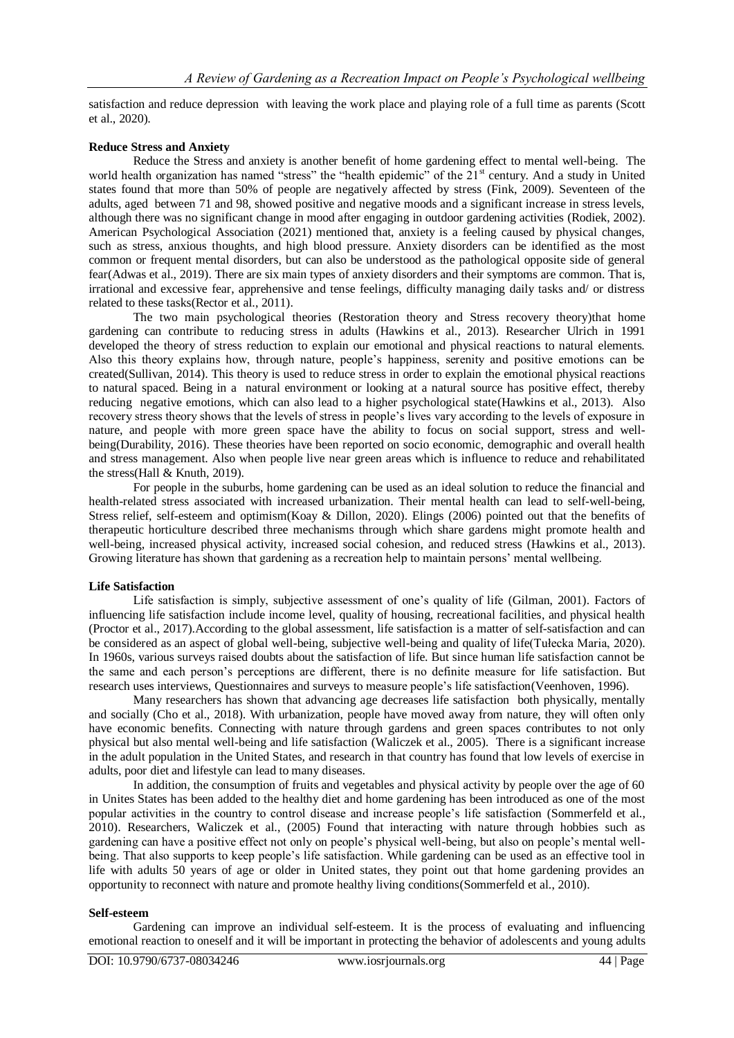satisfaction and reduce depression with leaving the work place and playing role of a full time as parents (Scott et al., 2020).

#### **Reduce Stress and Anxiety**

Reduce the Stress and anxiety is another benefit of home gardening effect to mental well-being. The world health organization has named "stress" the "health epidemic" of the 21<sup>st</sup> century. And a study in United states found that more than 50% of people are negatively affected by stress (Fink, 2009). Seventeen of the adults, aged between 71 and 98, showed positive and negative moods and a significant increase in stress levels, although there was no significant change in mood after engaging in outdoor gardening activities (Rodiek, 2002). American Psychological Association (2021) mentioned that, anxiety is a feeling caused by physical changes, such as stress, anxious thoughts, and high blood pressure. Anxiety disorders can be identified as the most common or frequent mental disorders, but can also be understood as the pathological opposite side of general fear(Adwas et al., 2019). There are six main types of anxiety disorders and their symptoms are common. That is, irrational and excessive fear, apprehensive and tense feelings, difficulty managing daily tasks and/ or distress related to these tasks(Rector et al., 2011).

The two main psychological theories (Restoration theory and Stress recovery theory)that home gardening can contribute to reducing stress in adults (Hawkins et al., 2013). Researcher Ulrich in 1991 developed the theory of stress reduction to explain our emotional and physical reactions to natural elements. Also this theory explains how, through nature, people's happiness, serenity and positive emotions can be created(Sullivan, 2014). This theory is used to reduce stress in order to explain the emotional physical reactions to natural spaced. Being in a natural environment or looking at a natural source has positive effect, thereby reducing negative emotions, which can also lead to a higher psychological state(Hawkins et al., 2013). Also recovery stress theory shows that the levels of stress in people's lives vary according to the levels of exposure in nature, and people with more green space have the ability to focus on social support, stress and wellbeing(Durability, 2016). These theories have been reported on socio economic, demographic and overall health and stress management. Also when people live near green areas which is influence to reduce and rehabilitated the stress(Hall & Knuth, 2019).

For people in the suburbs, home gardening can be used as an ideal solution to reduce the financial and health-related stress associated with increased urbanization. Their mental health can lead to self-well-being, Stress relief, self-esteem and optimism(Koay & Dillon, 2020). Elings (2006) pointed out that the benefits of therapeutic horticulture described three mechanisms through which share gardens might promote health and well-being, increased physical activity, increased social cohesion, and reduced stress (Hawkins et al., 2013). Growing literature has shown that gardening as a recreation help to maintain persons' mental wellbeing.

### **Life Satisfaction**

Life satisfaction is simply, subjective assessment of one's quality of life (Gilman, 2001). Factors of influencing life satisfaction include income level, quality of housing, recreational facilities, and physical health (Proctor et al., 2017).According to the global assessment, life satisfaction is a matter of self-satisfaction and can be considered as an aspect of global well-being, subjective well-being and quality of life(Tułecka Maria, 2020). In 1960s, various surveys raised doubts about the satisfaction of life. But since human life satisfaction cannot be the same and each person's perceptions are different, there is no definite measure for life satisfaction. But research uses interviews, Questionnaires and surveys to measure people's life satisfaction(Veenhoven, 1996).

Many researchers has shown that advancing age decreases life satisfaction both physically, mentally and socially (Cho et al., 2018). With urbanization, people have moved away from nature, they will often only have economic benefits. Connecting with nature through gardens and green spaces contributes to not only physical but also mental well-being and life satisfaction (Waliczek et al., 2005). There is a significant increase in the adult population in the United States, and research in that country has found that low levels of exercise in adults, poor diet and lifestyle can lead to many diseases.

In addition, the consumption of fruits and vegetables and physical activity by people over the age of 60 in Unites States has been added to the healthy diet and home gardening has been introduced as one of the most popular activities in the country to control disease and increase people's life satisfaction (Sommerfeld et al., 2010). Researchers, Waliczek et al., (2005) Found that interacting with nature through hobbies such as gardening can have a positive effect not only on people's physical well-being, but also on people's mental wellbeing. That also supports to keep people's life satisfaction. While gardening can be used as an effective tool in life with adults 50 years of age or older in United states, they point out that home gardening provides an opportunity to reconnect with nature and promote healthy living conditions(Sommerfeld et al., 2010).

#### **Self-esteem**

Gardening can improve an individual self-esteem. It is the process of evaluating and influencing emotional reaction to oneself and it will be important in protecting the behavior of adolescents and young adults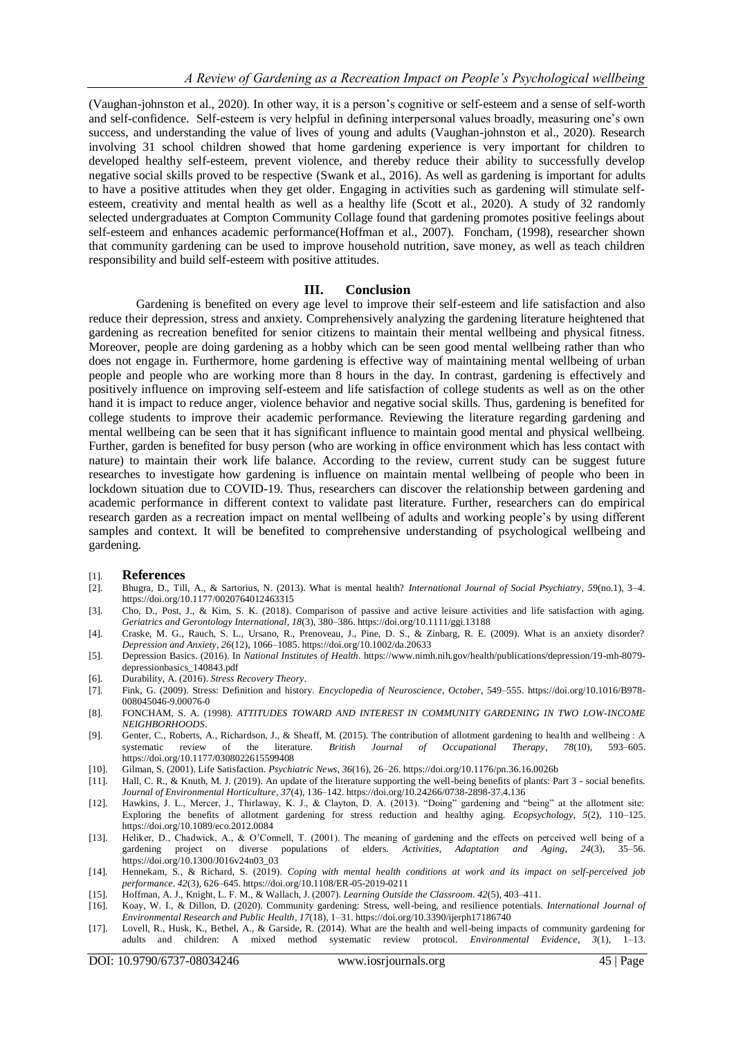(Vaughan-johnston et al., 2020). In other way, it is a person's cognitive or self-esteem and a sense of self-worth and self-confidence. Self-esteem is very helpful in defining interpersonal values broadly, measuring one's own success, and understanding the value of lives of young and adults (Vaughan-johnston et al., 2020). Research involving 31 school children showed that home gardening experience is very important for children to developed healthy self-esteem, prevent violence, and thereby reduce their ability to successfully develop negative social skills proved to be respective (Swank et al., 2016). As well as gardening is important for adults to have a positive attitudes when they get older. Engaging in activities such as gardening will stimulate selfesteem, creativity and mental health as well as a healthy life (Scott et al., 2020). A study of 32 randomly selected undergraduates at Compton Community Collage found that gardening promotes positive feelings about self-esteem and enhances academic performance(Hoffman et al., 2007). Foncham, (1998), researcher shown that community gardening can be used to improve household nutrition, save money, as well as teach children responsibility and build self-esteem with positive attitudes.

#### **III. Conclusion**

Gardening is benefited on every age level to improve their self-esteem and life satisfaction and also reduce their depression, stress and anxiety. Comprehensively analyzing the gardening literature heightened that gardening as recreation benefited for senior citizens to maintain their mental wellbeing and physical fitness. Moreover, people are doing gardening as a hobby which can be seen good mental wellbeing rather than who does not engage in. Furthermore, home gardening is effective way of maintaining mental wellbeing of urban people and people who are working more than 8 hours in the day. In contrast, gardening is effectively and positively influence on improving self-esteem and life satisfaction of college students as well as on the other hand it is impact to reduce anger, violence behavior and negative social skills. Thus, gardening is benefited for college students to improve their academic performance. Reviewing the literature regarding gardening and mental wellbeing can be seen that it has significant influence to maintain good mental and physical wellbeing. Further, garden is benefited for busy person (who are working in office environment which has less contact with nature) to maintain their work life balance. According to the review, current study can be suggest future researches to investigate how gardening is influence on maintain mental wellbeing of people who been in lockdown situation due to COVID-19. Thus, researchers can discover the relationship between gardening and academic performance in different context to validate past literature. Further, researchers can do empirical research garden as a recreation impact on mental wellbeing of adults and working people's by using different samples and context. It will be benefited to comprehensive understanding of psychological wellbeing and gardening.

#### [1]. **References**

- [2]. Bhugra, D., Till, A., & Sartorius, N. (2013). What is mental health? *International Journal of Social Psychiatry*, *59*(no.1), 3–4. https://doi.org/10.1177/0020764012463315
- [3]. Cho, D., Post, J., & Kim, S. K. (2018). Comparison of passive and active leisure activities and life satisfaction with aging. *Geriatrics and Gerontology International*, *18*(3), 380–386. https://doi.org/10.1111/ggi.13188
- [4]. Craske, M. G., Rauch, S. L., Ursano, R., Prenoveau, J., Pine, D. S., & Zinbarg, R. E. (2009). What is an anxiety disorder? *Depression and Anxiety*, *26*(12), 1066–1085. https://doi.org/10.1002/da.20633
- [5]. Depression Basics. (2016). In *National Institutes of Health*. https://www.nimh.nih.gov/health/publications/depression/19-mh-8079 depressionbasics\_140843.pdf
- [6]. Durability, A. (2016). *Stress Recovery Theory*.
- [7]. Fink, G. (2009). Stress: Definition and history. *Encyclopedia of Neuroscience*, *October*, 549–555. https://doi.org/10.1016/B978- 008045046-9.00076-0
- [8]. FONCHAM, S. A. (1998). *ATTITUDES TOWARD AND INTEREST IN COMMUNITY GARDENING IN TWO LOW-INCOME NEIGHBORHOODS*.
- [9]. Genter, C., Roberts, A., Richardson, J., & Sheaff, M. (2015). The contribution of allotment gardening to health and wellbeing : A systematic review of the literature. *British Journal of Occupational Therapy*, *78*(10), 593–605. https://doi.org/10.1177/0308022615599408
- [10]. Gilman, S. (2001). Life Satisfaction. *Psychiatric News*, *36*(16), 26–26. https://doi.org/10.1176/pn.36.16.0026b
- [11]. Hall, C. R., & Knuth, M. J. (2019). An update of the literature supporting the well-being benefits of plants: Part 3 social benefits. *Journal of Environmental Horticulture*, *37*(4), 136–142. https://doi.org/10.24266/0738-2898-37.4.136
- [12]. Hawkins, J. L., Mercer, J., Thirlaway, K. J., & Clayton, D. A. (2013). "Doing" gardening and "being" at the allotment site: Exploring the benefits of allotment gardening for stress reduction and healthy aging. *Ecopsychology*, *5*(2), 110–125. https://doi.org/10.1089/eco.2012.0084
- [13]. Heliker, D., Chadwick, A., & O'Connell, T. (2001). The meaning of gardening and the effects on perceived well being of a gardening project on diverse populations of elders. *Activities, Adaptation and Aging*, *24*(3), 35–56. https://doi.org/10.1300/J016v24n03\_03
- [14]. Hennekam, S., & Richard, S. (2019). *Coping with mental health conditions at work and its impact on self-perceived job performance*. *42*(3), 626–645. https://doi.org/10.1108/ER-05-2019-0211
- [15]. Hoffman, A. J., Knight, L. F. M., & Wallach, J. (2007). *Learning Outside the Classroom*. *42*(5), 403–411.
- [16]. Koay, W. I., & Dillon, D. (2020). Community gardening: Stress, well-being, and resilience potentials. *International Journal of Environmental Research and Public Health*, *17*(18), 1–31. https://doi.org/10.3390/ijerph17186740
- [17]. Lovell, R., Husk, K., Bethel, A., & Garside, R. (2014). What are the health and well-being impacts of community gardening for adults and children: A mixed method systematic review protocol. *Environmental Evidence*, *3*(1), 1–13.